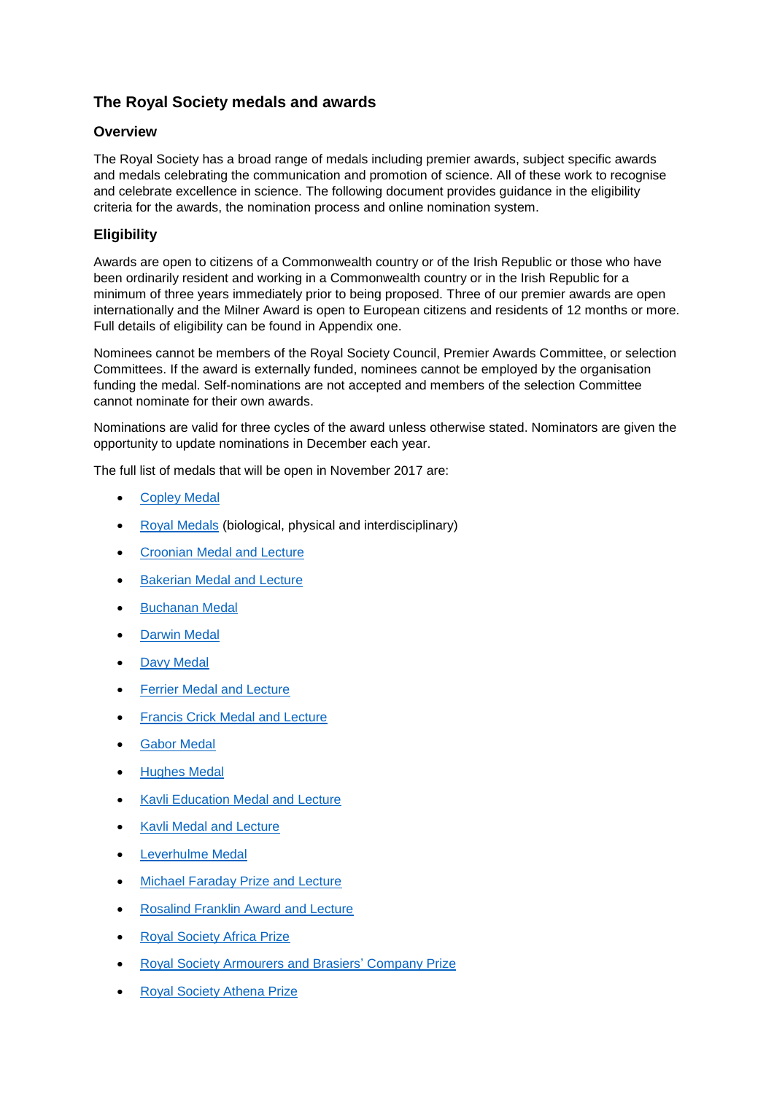# **The Royal Society medals and awards**

## **Overview**

The Royal Society has a broad range of medals including premier awards, subject specific awards and medals celebrating the communication and promotion of science. All of these work to recognise and celebrate excellence in science. The following document provides guidance in the eligibility criteria for the awards, the nomination process and online nomination system.

# **Eligibility**

Awards are open to citizens of a Commonwealth country or of the Irish Republic or those who have been ordinarily resident and working in a Commonwealth country or in the Irish Republic for a minimum of three years immediately prior to being proposed. Three of our premier awards are open internationally and the Milner Award is open to European citizens and residents of 12 months or more. Full details of eligibility can be found in Appendix one.

Nominees cannot be members of the Royal Society Council, Premier Awards Committee, or selection Committees. If the award is externally funded, nominees cannot be employed by the organisation funding the medal. Self-nominations are not accepted and members of the selection Committee cannot nominate for their own awards.

Nominations are valid for three cycles of the award unless otherwise stated. Nominators are given the opportunity to update nominations in December each year.

The full list of medals that will be open in November 2017 are:

- [Copley Medal](https://scauthor.royalsociety.org/grants-schemes-awards/awards/copley-medal)
- [Royal Medals](https://scauthor.royalsociety.org/grants-schemes-awards/awards/royal-medal) (biological, physical and interdisciplinary)
- **[Croonian Medal and Lecture](https://scauthor.royalsociety.org/grants-schemes-awards/awards/croonian-lecture)**
- **•** [Bakerian Medal and Lecture](https://scauthor.royalsociety.org/grants-schemes-awards/awards/bakerian-lecture)
- **•** [Buchanan Medal](https://scauthor.royalsociety.org/grants-schemes-awards/awards/buchanan-medal)
- [Darwin Medal](https://royalsociety.org/grants-schemes-awards/awards/darwin-medal/)
- [Davy Medal](https://scauthor.royalsociety.org/grants-schemes-awards/awards/davy-medal)
- [Ferrier](https://royalsociety.org/grants-schemes-awards/awards/ferrier-lecture/) Medal and Lecture
- [Francis Crick Medal and Lecture](https://scauthor.royalsociety.org/grants-schemes-awards/awards/francis-crick-lecture)
- [Gabor Medal](https://scauthor.royalsociety.org/grants-schemes-awards/awards/gabor-medal)
- [Hughes Medal](https://scauthor.royalsociety.org/grants-schemes-awards/awards/hughes-medal)
- [Kavli Education Medal](https://royalsociety.org/grants-schemes-awards/awards/kavli-education-medal/) and Lecture
- [Kavli Medal and Lecture](https://royalsociety.org/grants-schemes-awards/awards/kavli-medal-lecture/)
- Leverhulme Medal
- [Michael Faraday Prize and Lecture](https://scauthor.royalsociety.org/grants-schemes-awards/awards/michael-faraday-prize)
- [Rosalind Franklin Award and Lecture](https://scauthor.royalsociety.org/grants-schemes-awards/awards/rosalind-franklin-award)
- [Royal Society Africa Prize](https://scauthor.royalsociety.org/grants-schemes-awards/awards/africa-award)
- Royal Society [Armourers and Brasiers'](https://royalsociety.org/grants-schemes-awards/awards/armourers-brasiers-prize/) Company Prize
- Royal Society [Athena Prize](https://royalsociety.org/grants-schemes-awards/awards/athena-prize/)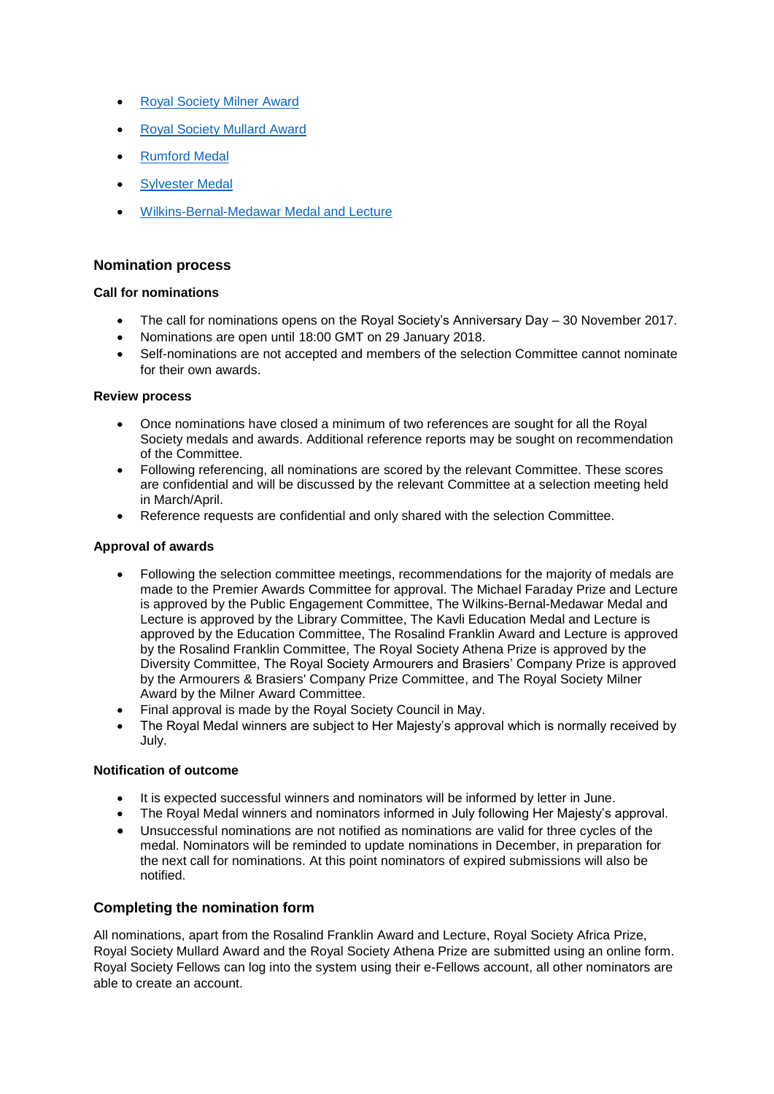- [Royal Society Milner Award](https://scauthor.royalsociety.org/grants-schemes-awards/awards/milner-award)
- [Royal Society Mullard Award](https://royalsociety.org/grants-schemes-awards/awards/mullard-award/)
- [Rumford Medal](https://royalsociety.org/grants-schemes-awards/awards/rumford-medal/)
- **•** [Sylvester Medal](https://royalsociety.org/grants-schemes-awards/awards/sylvester-medal/)
- [Wilkins-Bernal-Medawar Medal and Lecture](https://scauthor.royalsociety.org/grants-schemes-awards/awards/wilkins-bernal-medawar)

#### **Nomination process**

#### **Call for nominations**

- The call for nominations opens on the Royal Society's Anniversary Day 30 November 2017.
- Nominations are open until 18:00 GMT on 29 January 2018.
- Self-nominations are not accepted and members of the selection Committee cannot nominate for their own awards.

#### **Review process**

- Once nominations have closed a minimum of two references are sought for all the Royal Society medals and awards. Additional reference reports may be sought on recommendation of the Committee.
- Following referencing, all nominations are scored by the relevant Committee. These scores are confidential and will be discussed by the relevant Committee at a selection meeting held in March/April.
- Reference requests are confidential and only shared with the selection Committee.

#### **Approval of awards**

- Following the selection committee meetings, recommendations for the majority of medals are made to the Premier Awards Committee for approval. The Michael Faraday Prize and Lecture is approved by the Public Engagement Committee, The Wilkins-Bernal-Medawar Medal and Lecture is approved by the Library Committee, The Kavli Education Medal and Lecture is approved by the Education Committee, The Rosalind Franklin Award and Lecture is approved by the Rosalind Franklin Committee, The Royal Society Athena Prize is approved by the Diversity Committee, The Royal Society Armourers and Brasiers' Company Prize is approved by the Armourers & Brasiers' Company Prize Committee, and The Royal Society Milner Award by the Milner Award Committee.
- Final approval is made by the Royal Society Council in May.
- The Royal Medal winners are subject to Her Majesty's approval which is normally received by July.

#### **Notification of outcome**

- It is expected successful winners and nominators will be informed by letter in June.
- The Royal Medal winners and nominators informed in July following Her Majesty's approval.
- Unsuccessful nominations are not notified as nominations are valid for three cycles of the medal. Nominators will be reminded to update nominations in December, in preparation for the next call for nominations. At this point nominators of expired submissions will also be notified.

### **Completing the nomination form**

All nominations, apart from the Rosalind Franklin Award and Lecture, Royal Society Africa Prize, Royal Society Mullard Award and the Royal Society Athena Prize are submitted using an online form. Royal Society Fellows can log into the system using their e-Fellows account, all other nominators are able to create an account.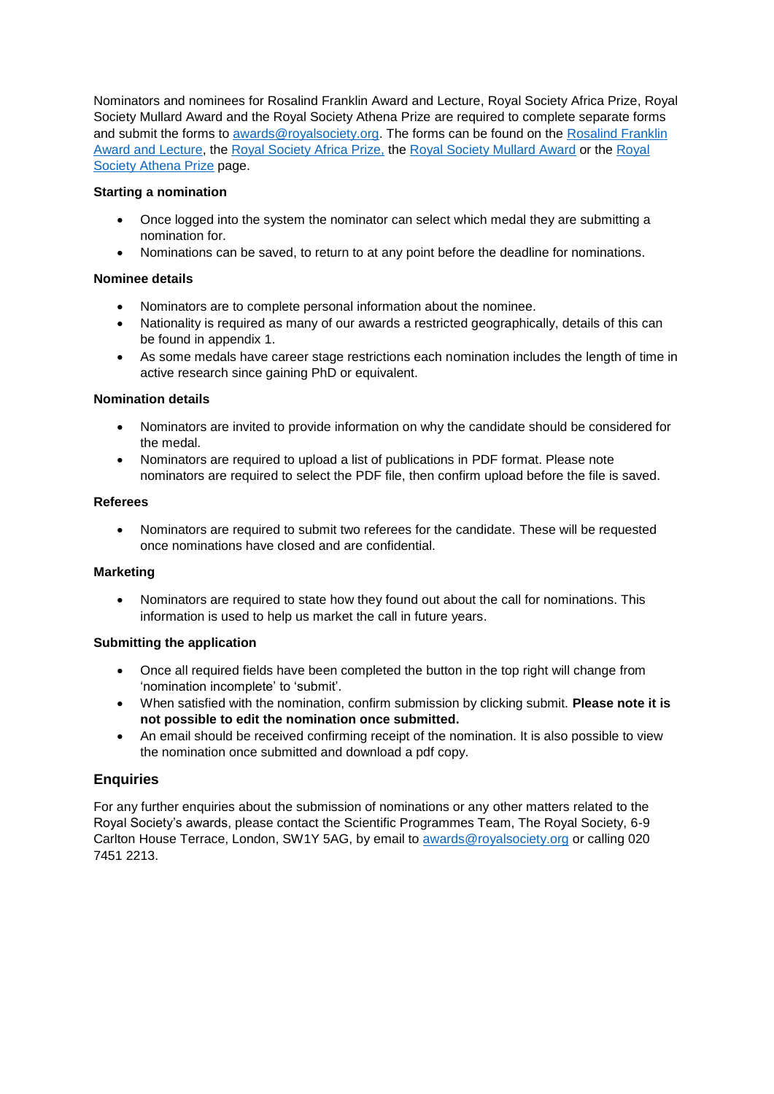Nominators and nominees for Rosalind Franklin Award and Lecture, Royal Society Africa Prize, Royal Society Mullard Award and the Royal Society Athena Prize are required to complete separate forms and submit the forms to [awards@royalsociety.org.](mailto:awards@royalsociety.org) The forms can be found on the Rosalind Franklin [Award and Lecture,](https://royalsociety.org/grants-schemes-awards/awards/rosalind-franklin-award/) the [Royal Society Africa Prize,](https://royalsociety.org/grants-schemes-awards/awards/africa-prize/) the [Royal Society Mullard Award](https://royalsociety.org/grants-schemes-awards/awards/mullard-award/) or the [Royal](https://royalsociety.org/grants-schemes-awards/awards/athena-prize/)  [Society Athena Prize](https://royalsociety.org/grants-schemes-awards/awards/athena-prize/) page.

#### **Starting a nomination**

- Once logged into the system the nominator can select which medal they are submitting a nomination for.
- Nominations can be saved, to return to at any point before the deadline for nominations.

#### **Nominee details**

- Nominators are to complete personal information about the nominee.
- Nationality is required as many of our awards a restricted geographically, details of this can be found in appendix 1.
- As some medals have career stage restrictions each nomination includes the length of time in active research since gaining PhD or equivalent.

#### **Nomination details**

- Nominators are invited to provide information on why the candidate should be considered for the medal.
- Nominators are required to upload a list of publications in PDF format. Please note nominators are required to select the PDF file, then confirm upload before the file is saved.

#### **Referees**

 Nominators are required to submit two referees for the candidate. These will be requested once nominations have closed and are confidential.

#### **Marketing**

 Nominators are required to state how they found out about the call for nominations. This information is used to help us market the call in future years.

#### **Submitting the application**

- Once all required fields have been completed the button in the top right will change from 'nomination incomplete' to 'submit'.
- When satisfied with the nomination, confirm submission by clicking submit. **Please note it is not possible to edit the nomination once submitted.**
- An email should be received confirming receipt of the nomination. It is also possible to view the nomination once submitted and download a pdf copy.

### **Enquiries**

For any further enquiries about the submission of nominations or any other matters related to the Royal Society's awards, please contact the Scientific Programmes Team, The Royal Society, 6-9 Carlton House Terrace, London, SW1Y 5AG, by email to [awards@royalsociety.org](mailto:awards@royalsociety.org?subject=Call%20for%20nominations) or calling 020 7451 2213.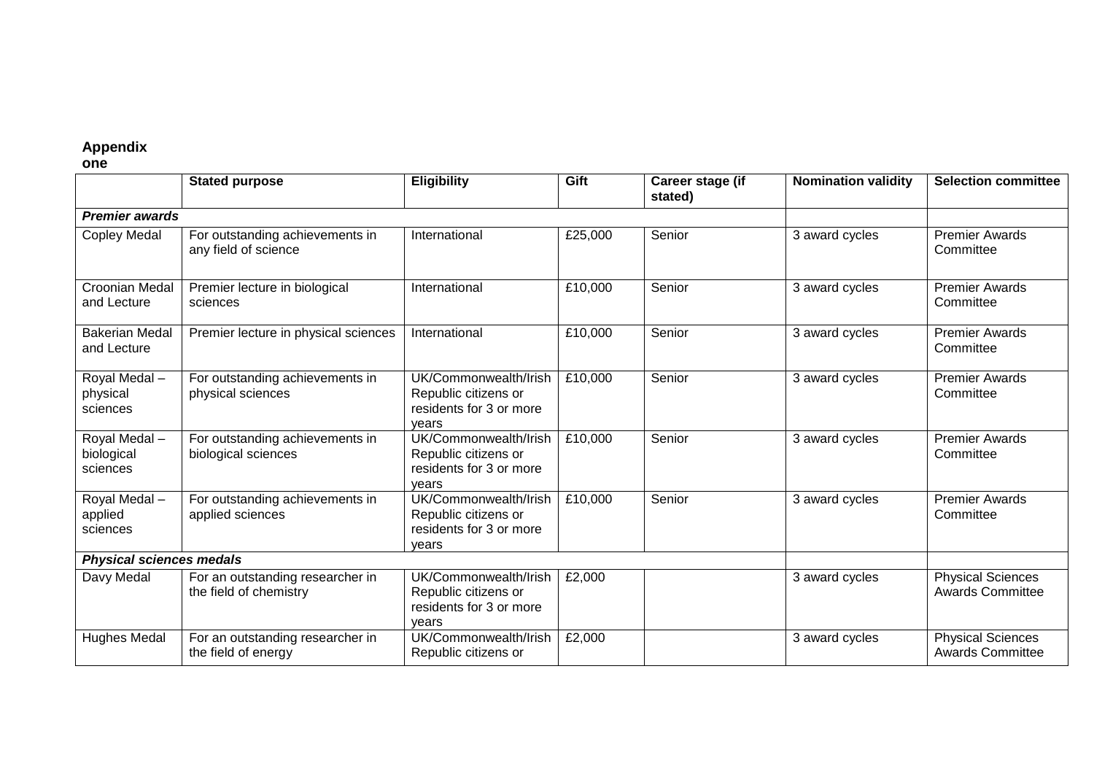# **Appendix**

**one**

|                                        | <b>Stated purpose</b>                                      | <b>Eligibility</b>                                                                | Gift                        | Career stage (if<br>stated) | <b>Nomination validity</b> | <b>Selection committee</b>                          |  |  |
|----------------------------------------|------------------------------------------------------------|-----------------------------------------------------------------------------------|-----------------------------|-----------------------------|----------------------------|-----------------------------------------------------|--|--|
| <b>Premier awards</b>                  |                                                            |                                                                                   |                             |                             |                            |                                                     |  |  |
| <b>Copley Medal</b>                    | For outstanding achievements in<br>any field of science    | International                                                                     | £25,000                     | Senior                      | 3 award cycles             | <b>Premier Awards</b><br>Committee                  |  |  |
| Croonian Medal<br>and Lecture          | Premier lecture in biological<br>sciences                  | International                                                                     | £10,000                     | Senior                      | 3 award cycles             | <b>Premier Awards</b><br>Committee                  |  |  |
| <b>Bakerian Medal</b><br>and Lecture   | Premier lecture in physical sciences                       | International                                                                     | £10,000                     | Senior                      | 3 award cycles             | <b>Premier Awards</b><br>Committee                  |  |  |
| Royal Medal-<br>physical<br>sciences   | For outstanding achievements in<br>physical sciences       | UK/Commonwealth/Irish<br>Republic citizens or<br>residents for 3 or more<br>vears | £10,000                     | Senior                      | 3 award cycles             | <b>Premier Awards</b><br>Committee                  |  |  |
| Royal Medal-<br>biological<br>sciences | For outstanding achievements in<br>biological sciences     | UK/Commonwealth/Irish<br>Republic citizens or<br>residents for 3 or more<br>vears | $\overline{\text{£}10,000}$ | Senior                      | 3 award cycles             | <b>Premier Awards</b><br>Committee                  |  |  |
| Royal Medal -<br>applied<br>sciences   | For outstanding achievements in<br>applied sciences        | UK/Commonwealth/Irish<br>Republic citizens or<br>residents for 3 or more<br>vears | £10,000                     | Senior                      | 3 award cycles             | <b>Premier Awards</b><br>Committee                  |  |  |
| <b>Physical sciences medals</b>        |                                                            |                                                                                   |                             |                             |                            |                                                     |  |  |
| Davy Medal                             | For an outstanding researcher in<br>the field of chemistry | UK/Commonwealth/Irish<br>Republic citizens or<br>residents for 3 or more<br>vears | £2,000                      |                             | 3 award cycles             | <b>Physical Sciences</b><br><b>Awards Committee</b> |  |  |
| <b>Hughes Medal</b>                    | For an outstanding researcher in<br>the field of energy    | UK/Commonwealth/Irish<br>Republic citizens or                                     | £2,000                      |                             | 3 award cycles             | <b>Physical Sciences</b><br><b>Awards Committee</b> |  |  |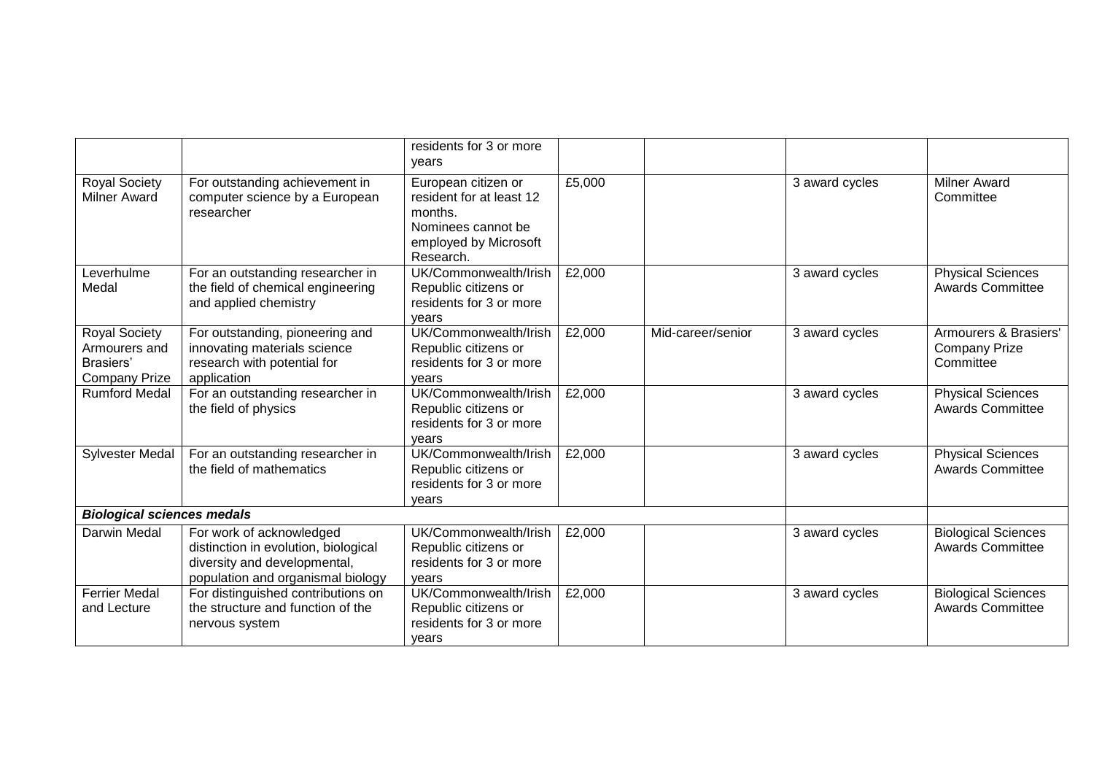|                                                                     |                                                                                                                                       | residents for 3 or more<br>years                                                                                       |        |                   |                |                                                            |  |
|---------------------------------------------------------------------|---------------------------------------------------------------------------------------------------------------------------------------|------------------------------------------------------------------------------------------------------------------------|--------|-------------------|----------------|------------------------------------------------------------|--|
| <b>Royal Society</b><br><b>Milner Award</b>                         | For outstanding achievement in<br>computer science by a European<br>researcher                                                        | European citizen or<br>resident for at least 12<br>months.<br>Nominees cannot be<br>employed by Microsoft<br>Research. | £5,000 |                   | 3 award cycles | <b>Milner Award</b><br>Committee                           |  |
| Leverhulme<br>Medal                                                 | For an outstanding researcher in<br>the field of chemical engineering<br>and applied chemistry                                        | UK/Commonwealth/Irish<br>Republic citizens or<br>residents for 3 or more<br>vears                                      | £2,000 |                   | 3 award cycles | <b>Physical Sciences</b><br><b>Awards Committee</b>        |  |
| Royal Society<br>Armourers and<br>Brasiers'<br><b>Company Prize</b> | For outstanding, pioneering and<br>innovating materials science<br>research with potential for<br>application                         | UK/Commonwealth/Irish<br>Republic citizens or<br>residents for 3 or more<br>vears                                      | £2,000 | Mid-career/senior | 3 award cycles | Armourers & Brasiers'<br><b>Company Prize</b><br>Committee |  |
| <b>Rumford Medal</b>                                                | For an outstanding researcher in<br>the field of physics                                                                              | UK/Commonwealth/Irish<br>Republic citizens or<br>residents for 3 or more<br>vears                                      | £2,000 |                   | 3 award cycles | <b>Physical Sciences</b><br><b>Awards Committee</b>        |  |
| <b>Sylvester Medal</b>                                              | For an outstanding researcher in<br>the field of mathematics                                                                          | UK/Commonwealth/Irish<br>Republic citizens or<br>residents for 3 or more<br>vears                                      | £2,000 |                   | 3 award cycles | <b>Physical Sciences</b><br><b>Awards Committee</b>        |  |
| <b>Biological sciences medals</b>                                   |                                                                                                                                       |                                                                                                                        |        |                   |                |                                                            |  |
| Darwin Medal                                                        | For work of acknowledged<br>distinction in evolution, biological<br>diversity and developmental,<br>population and organismal biology | UK/Commonwealth/Irish<br>Republic citizens or<br>residents for 3 or more<br>vears                                      | £2,000 |                   | 3 award cycles | <b>Biological Sciences</b><br><b>Awards Committee</b>      |  |
| <b>Ferrier Medal</b><br>and Lecture                                 | For distinguished contributions on<br>the structure and function of the<br>nervous system                                             | UK/Commonwealth/Irish<br>Republic citizens or<br>residents for 3 or more<br>years                                      | £2,000 |                   | 3 award cycles | <b>Biological Sciences</b><br><b>Awards Committee</b>      |  |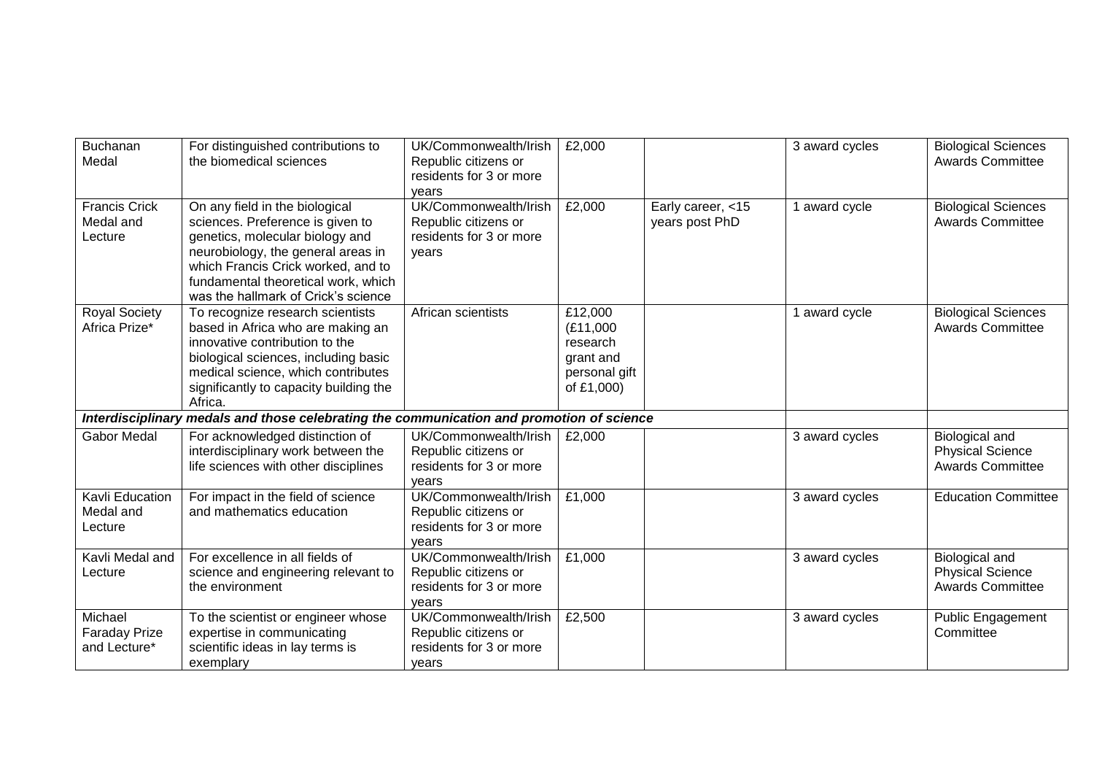| Buchanan<br>Medal                               | For distinguished contributions to<br>the biomedical sciences                                                                                                                                                                                                   | UK/Commonwealth/Irish<br>Republic citizens or<br>residents for 3 or more<br>vears | £2,000                                                                       |                                     | 3 award cycles | <b>Biological Sciences</b><br><b>Awards Committee</b>                |
|-------------------------------------------------|-----------------------------------------------------------------------------------------------------------------------------------------------------------------------------------------------------------------------------------------------------------------|-----------------------------------------------------------------------------------|------------------------------------------------------------------------------|-------------------------------------|----------------|----------------------------------------------------------------------|
| <b>Francis Crick</b><br>Medal and<br>Lecture    | On any field in the biological<br>sciences. Preference is given to<br>genetics, molecular biology and<br>neurobiology, the general areas in<br>which Francis Crick worked, and to<br>fundamental theoretical work, which<br>was the hallmark of Crick's science | UK/Commonwealth/Irish<br>Republic citizens or<br>residents for 3 or more<br>vears | £2,000                                                                       | Early career, <15<br>years post PhD | 1 award cycle  | <b>Biological Sciences</b><br><b>Awards Committee</b>                |
| <b>Royal Society</b><br>Africa Prize*           | To recognize research scientists<br>based in Africa who are making an<br>innovative contribution to the<br>biological sciences, including basic<br>medical science, which contributes<br>significantly to capacity building the<br>Africa.                      | African scientists                                                                | £12,000<br>(E11,000)<br>research<br>grant and<br>personal gift<br>of £1,000) |                                     | 1 award cycle  | <b>Biological Sciences</b><br><b>Awards Committee</b>                |
|                                                 | Interdisciplinary medals and those celebrating the communication and promotion of science                                                                                                                                                                       |                                                                                   |                                                                              |                                     |                |                                                                      |
| <b>Gabor Medal</b>                              | For acknowledged distinction of<br>interdisciplinary work between the<br>life sciences with other disciplines                                                                                                                                                   | UK/Commonwealth/Irish<br>Republic citizens or<br>residents for 3 or more<br>vears | £2,000                                                                       |                                     | 3 award cycles | Biological and<br><b>Physical Science</b><br><b>Awards Committee</b> |
| Kavli Education<br>Medal and<br>Lecture         | For impact in the field of science<br>and mathematics education                                                                                                                                                                                                 | UK/Commonwealth/Irish<br>Republic citizens or<br>residents for 3 or more<br>vears | £1,000                                                                       |                                     | 3 award cycles | <b>Education Committee</b>                                           |
| Kavli Medal and<br>Lecture                      | For excellence in all fields of<br>science and engineering relevant to<br>the environment                                                                                                                                                                       | UK/Commonwealth/Irish<br>Republic citizens or<br>residents for 3 or more<br>vears | £1,000                                                                       |                                     | 3 award cycles | Biological and<br><b>Physical Science</b><br><b>Awards Committee</b> |
| Michael<br><b>Faraday Prize</b><br>and Lecture* | To the scientist or engineer whose<br>expertise in communicating<br>scientific ideas in lay terms is<br>exemplary                                                                                                                                               | UK/Commonwealth/Irish<br>Republic citizens or<br>residents for 3 or more<br>vears | £2,500                                                                       |                                     | 3 award cycles | Public Engagement<br>Committee                                       |